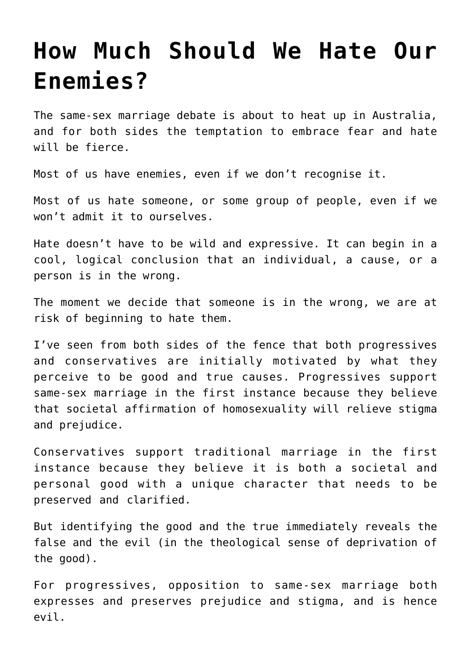# **[How Much Should We Hate Our](https://intellectualtakeout.org/2017/08/how-much-should-we-hate-our-enemies/) [Enemies?](https://intellectualtakeout.org/2017/08/how-much-should-we-hate-our-enemies/)**

The same-sex marriage debate is about to heat up in Australia, and for both sides the temptation to embrace fear and hate will be fierce.

Most of us have enemies, even if we don't recognise it.

Most of us hate someone, or some group of people, even if we won't admit it to ourselves.

Hate doesn't have to be wild and expressive. It can begin in a cool, logical conclusion that an individual, a cause, or a person is in the wrong.

The moment we decide that someone is in the wrong, we are at risk of beginning to hate them.

I've seen from both sides of the fence that both progressives and conservatives are initially motivated by what they perceive to be good and true causes. Progressives support same-sex marriage in the first instance because they believe that societal affirmation of homosexuality will relieve stigma and prejudice.

Conservatives support traditional marriage in the first instance because they believe it is both a societal and personal good with a unique character that needs to be preserved and clarified.

But identifying the good and the true immediately reveals the false and the evil (in the theological sense of deprivation of the good).

For progressives, opposition to same-sex marriage both expresses and preserves prejudice and stigma, and is hence evil.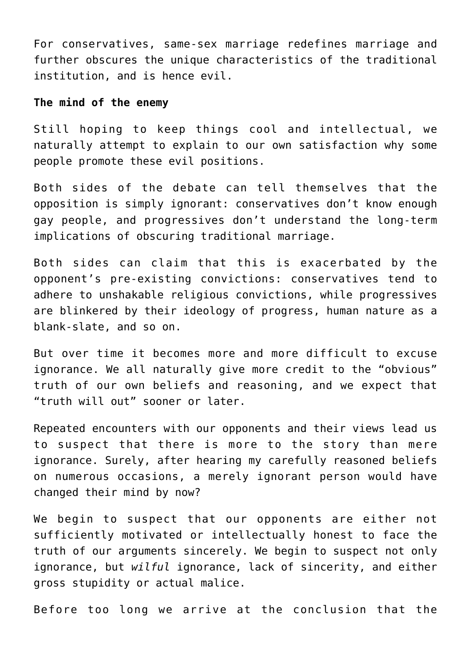For conservatives, same-sex marriage redefines marriage and further obscures the unique characteristics of the traditional institution, and is hence evil.

#### **The mind of the enemy**

Still hoping to keep things cool and intellectual, we naturally attempt to explain to our own satisfaction why some people promote these evil positions.

Both sides of the debate can tell themselves that the opposition is simply ignorant: conservatives don't know enough gay people, and progressives don't understand the long-term implications of obscuring traditional marriage.

Both sides can claim that this is exacerbated by the opponent's pre-existing convictions: conservatives tend to adhere to unshakable religious convictions, while progressives are blinkered by their ideology of progress, human nature as a blank-slate, and so on.

But over time it becomes more and more difficult to excuse ignorance. We all naturally give more credit to the "obvious" truth of our own beliefs and reasoning, and we expect that "truth will out" sooner or later.

Repeated encounters with our opponents and their views lead us to suspect that there is more to the story than mere ignorance. Surely, after hearing my carefully reasoned beliefs on numerous occasions, a merely ignorant person would have changed their mind by now?

We begin to suspect that our opponents are either not sufficiently motivated or intellectually honest to face the truth of our arguments sincerely. We begin to suspect not only ignorance, but *wilful* ignorance, lack of sincerity, and either gross stupidity or actual malice.

Before too long we arrive at the conclusion that the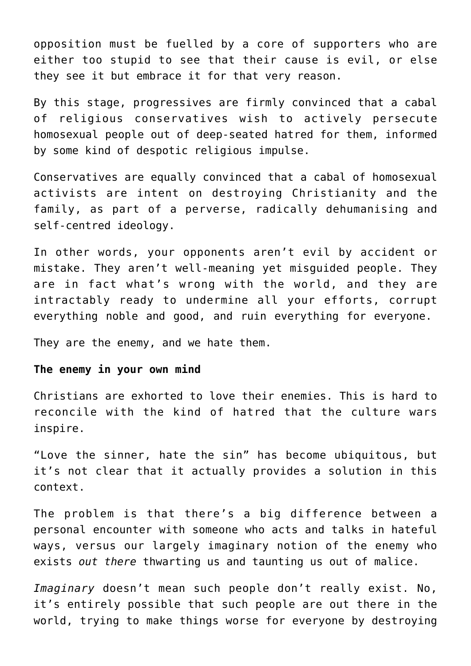opposition must be fuelled by a core of supporters who are either too stupid to see that their cause is evil, or else they see it but embrace it for that very reason.

By this stage, progressives are firmly convinced that a cabal of religious conservatives wish to actively persecute homosexual people out of deep-seated hatred for them, informed by some kind of despotic religious impulse.

Conservatives are equally convinced that a cabal of homosexual activists are intent on destroying Christianity and the family, as part of a perverse, radically dehumanising and self-centred ideology.

In other words, your opponents aren't evil by accident or mistake. They aren't well-meaning yet misguided people. They are in fact what's wrong with the world, and they are intractably ready to undermine all your efforts, corrupt everything noble and good, and ruin everything for everyone.

They are the enemy, and we hate them.

## **The enemy in your own mind**

Christians are exhorted to love their enemies. This is hard to reconcile with the kind of hatred that the culture wars inspire.

"Love the sinner, hate the sin" has become ubiquitous, but it's not clear that it actually provides a solution in this context.

The problem is that there's a big difference between a personal encounter with someone who acts and talks in hateful ways, versus our largely imaginary notion of the enemy who exists *out there* thwarting us and taunting us out of malice.

*Imaginary* doesn't mean such people don't really exist. No, it's entirely possible that such people are out there in the world, trying to make things worse for everyone by destroying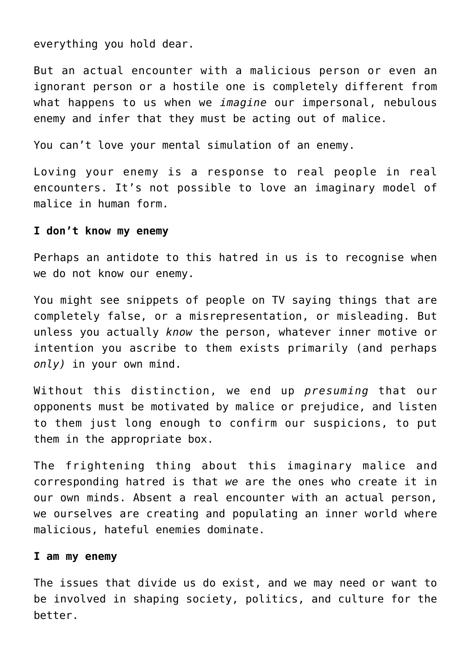everything you hold dear.

But an actual encounter with a malicious person or even an ignorant person or a hostile one is completely different from what happens to us when we *imagine* our impersonal, nebulous enemy and infer that they must be acting out of malice.

You can't love your mental simulation of an enemy.

Loving your enemy is a response to real people in real encounters. It's not possible to love an imaginary model of malice in human form.

## **I don't know my enemy**

Perhaps an antidote to this hatred in us is to recognise when we do not know our enemy.

You might see snippets of people on TV saying things that are completely false, or a misrepresentation, or misleading. But unless you actually *know* the person, whatever inner motive or intention you ascribe to them exists primarily (and perhaps *only)* in your own mind.

Without this distinction, we end up *presuming* that our opponents must be motivated by malice or prejudice, and listen to them just long enough to confirm our suspicions, to put them in the appropriate box.

The frightening thing about this imaginary malice and corresponding hatred is that *we* are the ones who create it in our own minds. Absent a real encounter with an actual person, we ourselves are creating and populating an inner world where malicious, hateful enemies dominate.

### **I am my enemy**

The issues that divide us do exist, and we may need or want to be involved in shaping society, politics, and culture for the better.